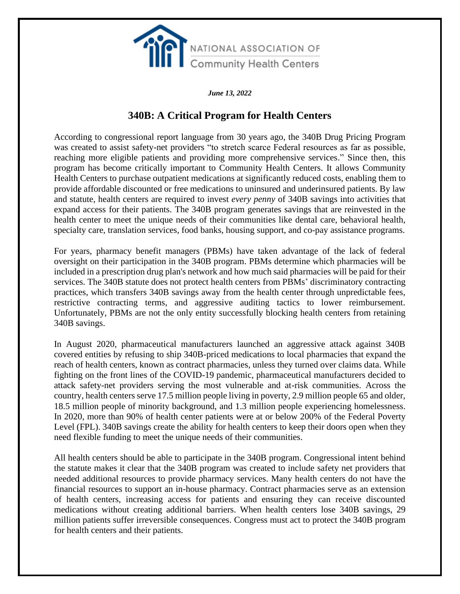

*June 13, 2022*

# **340B: A Critical Program for Health Centers**

According to congressional report language from 30 years ago, the 340B Drug Pricing Program was created to assist safety-net providers "to stretch scarce Federal resources as far as possible, reaching more eligible patients and providing more comprehensive services." Since then, this program has become critically important to Community Health Centers. It allows Community Health Centers to purchase outpatient medications at significantly reduced costs, enabling them to provide affordable discounted or free medications to uninsured and underinsured patients. By law and statute, health centers are required to invest *every penny* of 340B savings into activities that expand access for their patients. The 340B program generates savings that are reinvested in the health center to meet the unique needs of their communities like dental care, behavioral health, specialty care, translation services, food banks, housing support, and co-pay assistance programs.

For years, pharmacy benefit managers (PBMs) have taken advantage of the lack of federal oversight on their participation in the 340B program. PBMs determine which pharmacies will be included in a prescription drug plan's network and how much said pharmacies will be paid for their services. The 340B statute does not protect health centers from PBMs' discriminatory contracting practices, which transfers 340B savings away from the health center through unpredictable fees, restrictive contracting terms, and aggressive auditing tactics to lower reimbursement. Unfortunately, PBMs are not the only entity successfully blocking health centers from retaining 340B savings.

In August 2020, pharmaceutical manufacturers launched an aggressive attack against 340B covered entities by refusing to ship 340B-priced medications to local pharmacies that expand the reach of health centers, known as contract pharmacies, unless they turned over claims data. While fighting on the front lines of the COVID-19 pandemic, pharmaceutical manufacturers decided to attack safety-net providers serving the most vulnerable and at-risk communities. Across the country, health centers serve 17.5 million people living in poverty, 2.9 million people 65 and older, 18.5 million people of minority background, and 1.3 million people experiencing homelessness. In 2020, more than 90% of health center patients were at or below 200% of the Federal Poverty Level (FPL). 340B savings create the ability for health centers to keep their doors open when they need flexible funding to meet the unique needs of their communities.

All health centers should be able to participate in the 340B program. Congressional intent behind the statute makes it clear that the 340B program was created to include safety net providers that needed additional resources to provide pharmacy services. Many health centers do not have the financial resources to support an in-house pharmacy. Contract pharmacies serve as an extension of health centers, increasing access for patients and ensuring they can receive discounted medications without creating additional barriers. When health centers lose 340B savings, 29 million patients suffer irreversible consequences. Congress must act to protect the 340B program for health centers and their patients.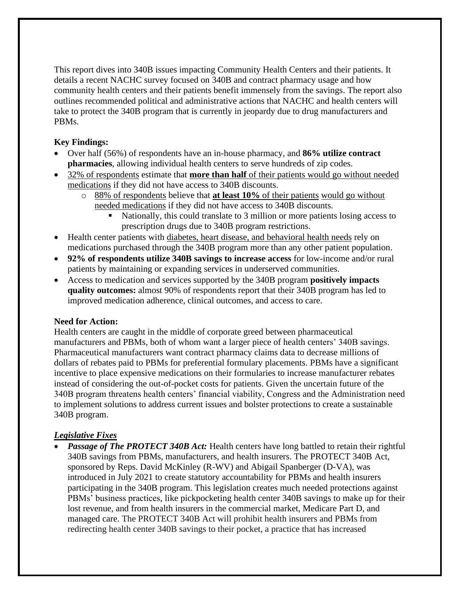This report dives into 340B issues impacting Community Health Centers and their patients. It details a recent NACHC survey focused on 340B and contract pharmacy usage and how community health centers and their patients benefit immensely from the savings. The report also outlines recommended political and administrative actions that NACHC and health centers will take to protect the 340B program that is currently in jeopardy due to drug manufacturers and PBMs.

## **Key Findings:**

- Over half (56%) of respondents have an in-house pharmacy, and **86% utilize contract pharmacies**, allowing individual health centers to serve hundreds of zip codes.
- 32% of respondents estimate that **more than half** of their patients would go without needed medications if they did not have access to 340B discounts.
	- o 88% of respondents believe that **at least 10%** of their patients would go without needed medications if they did not have access to 340B discounts.
		- Nationally, this could translate to 3 million or more patients losing access to prescription drugs due to 340B program restrictions.
- Health center patients with diabetes, heart disease, and behavioral health needs rely on medications purchased through the 340B program more than any other patient population.
- **92% of respondents utilize 340B savings to increase access** for low-income and/or rural patients by maintaining or expanding services in underserved communities.
- Access to medication and services supported by the 340B program **positively impacts quality outcomes:** almost 90% of respondents report that their 340B program has led to improved medication adherence, clinical outcomes, and access to care.

## **Need for Action:**

Health centers are caught in the middle of corporate greed between pharmaceutical manufacturers and PBMs, both of whom want a larger piece of health centers' 340B savings. Pharmaceutical manufacturers want contract pharmacy claims data to decrease millions of dollars of rebates paid to PBMs for preferential formulary placements. PBMs have a significant incentive to place expensive medications on their formularies to increase manufacturer rebates instead of considering the out-of-pocket costs for patients. Given the uncertain future of the 340B program threatens health centers' financial viability, Congress and the Administration need to implement solutions to address current issues and bolster protections to create a sustainable 340B program.

## *Legislative Fixes*

• *Passage of The PROTECT 340B Act:* Health centers have long battled to retain their rightful 340B savings from PBMs, manufacturers, and health insurers. The PROTECT 340B Act, sponsored by Reps. David McKinley (R-WV) and Abigail Spanberger (D-VA), was introduced in July 2021 to create statutory accountability for PBMs and health insurers participating in the 340B program. This legislation creates much needed protections against PBMs' business practices, like pickpocketing health center 340B savings to make up for their lost revenue, and from health insurers in the commercial market, Medicare Part D, and managed care. The PROTECT 340B Act will prohibit health insurers and PBMs from redirecting health center 340B savings to their pocket, a practice that has increased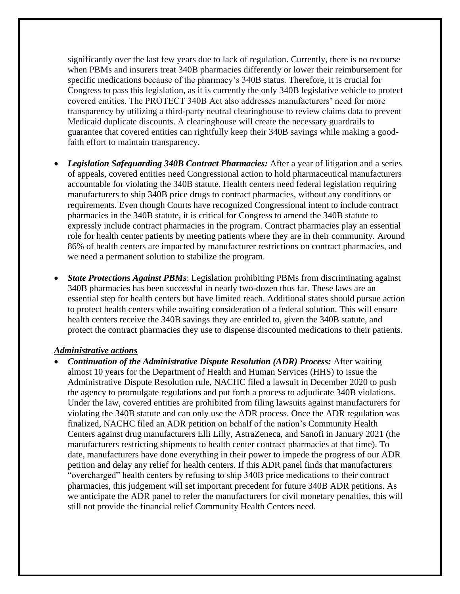significantly over the last few years due to lack of regulation. Currently, there is no recourse when PBMs and insurers treat 340B pharmacies differently or lower their reimbursement for specific medications because of the pharmacy's 340B status. Therefore, it is crucial for Congress to pass this legislation, as it is currently the only 340B legislative vehicle to protect covered entities. The PROTECT 340B Act also addresses manufacturers' need for more transparency by utilizing a third-party neutral clearinghouse to review claims data to prevent Medicaid duplicate discounts. A clearinghouse will create the necessary guardrails to guarantee that covered entities can rightfully keep their 340B savings while making a goodfaith effort to maintain transparency.

- *Legislation Safeguarding 340B Contract Pharmacies:* After a year of litigation and a series of appeals, covered entities need Congressional action to hold pharmaceutical manufacturers accountable for violating the 340B statute. Health centers need federal legislation requiring manufacturers to ship 340B price drugs to contract pharmacies, without any conditions or requirements. Even though Courts have recognized Congressional intent to include contract pharmacies in the 340B statute, it is critical for Congress to amend the 340B statute to expressly include contract pharmacies in the program. Contract pharmacies play an essential role for health center patients by meeting patients where they are in their community. Around 86% of health centers are impacted by manufacturer restrictions on contract pharmacies, and we need a permanent solution to stabilize the program.
- *State Protections Against PBMs*: Legislation prohibiting PBMs from discriminating against 340B pharmacies has been successful in nearly two-dozen thus far. These laws are an essential step for health centers but have limited reach. Additional states should pursue action to protect health centers while awaiting consideration of a federal solution. This will ensure health centers receive the 340B savings they are entitled to, given the 340B statute, and protect the contract pharmacies they use to dispense discounted medications to their patients.

#### *Administrative actions*

• *Continuation of the Administrative Dispute Resolution (ADR) Process:* After waiting almost 10 years for the Department of Health and Human Services (HHS) to issue the Administrative Dispute Resolution rule, NACHC filed a lawsuit in December 2020 to push the agency to promulgate regulations and put forth a process to adjudicate 340B violations. Under the law, covered entities are prohibited from filing lawsuits against manufacturers for violating the 340B statute and can only use the ADR process. Once the ADR regulation was finalized, NACHC filed an ADR petition on behalf of the nation's Community Health Centers against drug manufacturers Elli Lilly, AstraZeneca, and Sanofi in January 2021 (the manufacturers restricting shipments to health center contract pharmacies at that time). To date, manufacturers have done everything in their power to impede the progress of our ADR petition and delay any relief for health centers. If this ADR panel finds that manufacturers "overcharged" health centers by refusing to ship 340B price medications to their contract pharmacies, this judgement will set important precedent for future 340B ADR petitions. As we anticipate the ADR panel to refer the manufacturers for civil monetary penalties, this will still not provide the financial relief Community Health Centers need.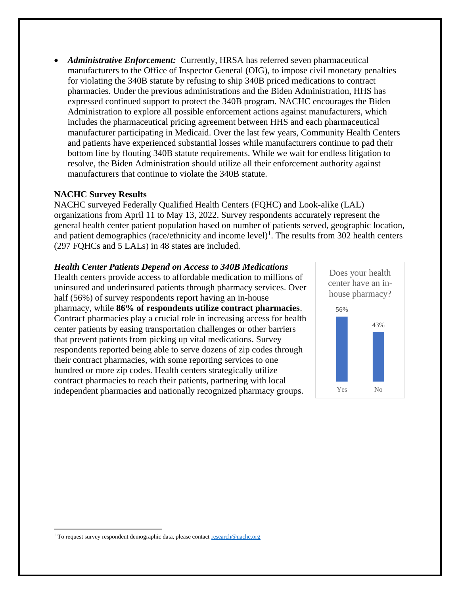• *Administrative Enforcement:* Currently, HRSA has referred seven pharmaceutical manufacturers to the Office of Inspector General (OIG), to impose civil monetary penalties for violating the 340B statute by refusing to ship 340B priced medications to contract pharmacies. Under the previous administrations and the Biden Administration, HHS has expressed continued support to protect the 340B program. NACHC encourages the Biden Administration to explore all possible enforcement actions against manufacturers, which includes the pharmaceutical pricing agreement between HHS and each pharmaceutical manufacturer participating in Medicaid. Over the last few years, Community Health Centers and patients have experienced substantial losses while manufacturers continue to pad their bottom line by flouting 340B statute requirements. While we wait for endless litigation to resolve, the Biden Administration should utilize all their enforcement authority against manufacturers that continue to violate the 340B statute.

### **NACHC Survey Results**

NACHC surveyed Federally Qualified Health Centers (FQHC) and Look-alike (LAL) organizations from April 11 to May 13, 2022. Survey respondents accurately represent the general health center patient population based on number of patients served, geographic location, and patient demographics (race/ethnicity and income level)<sup>1</sup>. The results from 302 health centers (297 FQHCs and 5 LALs) in 48 states are included.

*Health Center Patients Depend on Access to 340B Medications* Health centers provide access to affordable medication to millions of uninsured and underinsured patients through pharmacy services. Over half (56%) of survey respondents report having an in-house pharmacy, while **86% of respondents utilize contract pharmacies**. Contract pharmacies play a crucial role in increasing access for health center patients by easing transportation challenges or other barriers that prevent patients from picking up vital medications. Survey respondents reported being able to serve dozens of zip codes through their contract pharmacies, with some reporting services to one hundred or more zip codes. Health centers strategically utilize contract pharmacies to reach their patients, partnering with local independent pharmacies and nationally recognized pharmacy groups.



<sup>&</sup>lt;sup>1</sup> To request survey respondent demographic data, please contac[t research@nachc.org](mailto:research@nachc.org)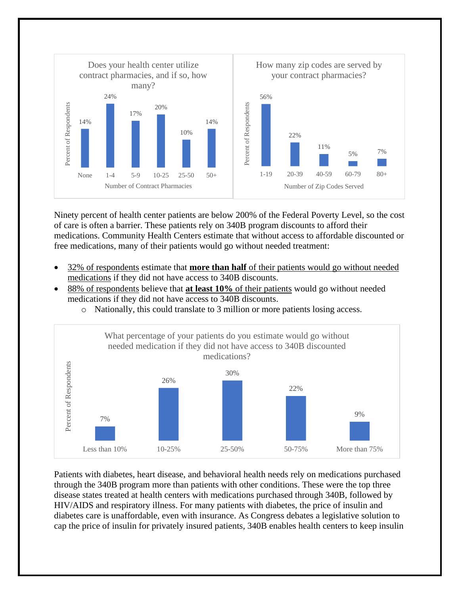

Ninety percent of health center patients are below 200% of the Federal Poverty Level, so the cost of care is often a barrier. These patients rely on 340B program discounts to afford their medications. Community Health Centers estimate that without access to affordable discounted or free medications, many of their patients would go without needed treatment:

- 32% of respondents estimate that **more than half** of their patients would go without needed medications if they did not have access to 340B discounts.
- 88% of respondents believe that **at least 10%** of their patients would go without needed medications if they did not have access to 340B discounts.
	- o Nationally, this could translate to 3 million or more patients losing access.



Patients with diabetes, heart disease, and behavioral health needs rely on medications purchased through the 340B program more than patients with other conditions. These were the top three disease states treated at health centers with medications purchased through 340B, followed by HIV/AIDS and respiratory illness. For many patients with diabetes, the price of insulin and diabetes care is unaffordable, even with insurance. As Congress debates a legislative solution to cap the price of insulin for privately insured patients, 340B enables health centers to keep insulin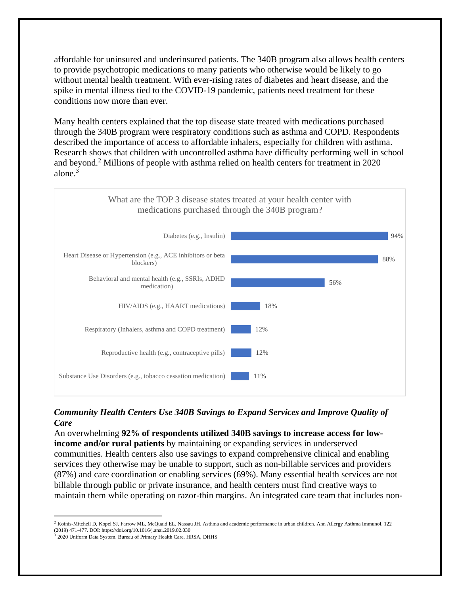affordable for uninsured and underinsured patients. The 340B program also allows health centers to provide psychotropic medications to many patients who otherwise would be likely to go without mental health treatment. With ever-rising rates of diabetes and heart disease, and the spike in mental illness tied to the COVID-19 pandemic, patients need treatment for these conditions now more than ever.

Many health centers explained that the top disease state treated with medications purchased through the 340B program were respiratory conditions such as asthma and COPD. Respondents described the importance of access to affordable inhalers, especially for children with asthma. Research shows that children with uncontrolled asthma have difficulty performing well in school and beyond. <sup>2</sup> Millions of people with asthma relied on health centers for treatment in 2020 alone. 3



## *Community Health Centers Use 340B Savings to Expand Services and Improve Quality of Care*

An overwhelming **92% of respondents utilized 340B savings to increase access for lowincome and/or rural patients** by maintaining or expanding services in underserved communities. Health centers also use savings to expand comprehensive clinical and enabling services they otherwise may be unable to support, such as non-billable services and providers (87%) and care coordination or enabling services (69%). Many essential health services are not billable through public or private insurance, and health centers must find creative ways to maintain them while operating on razor-thin margins. An integrated care team that includes non-

<sup>&</sup>lt;sup>2</sup> Koinis-Mitchell D, Kopel SJ, Farrow ML, McQuaid EL, Nassau JH. Asthma and academic performance in urban children. Ann Allergy Asthma Immunol. 122 (2019) 471-477. DOI: https://doi.org/10.1016/j.anai.2019.02.030

<sup>&</sup>lt;sup>3</sup> 2020 Uniform Data System. Bureau of Primary Health Care, HRSA, DHHS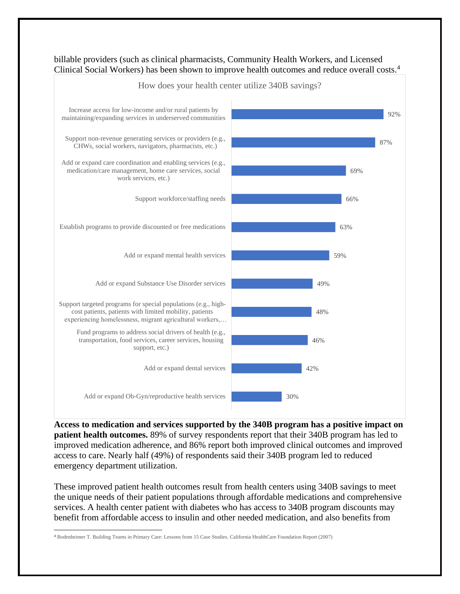

billable providers (such as clinical pharmacists, Community Health Workers, and Licensed Clinical Social Workers) has been shown to improve health outcomes and reduce overall costs.<sup>4</sup>

**Access to medication and services supported by the 340B program has a positive impact on patient health outcomes.** 89% of survey respondents report that their 340B program has led to improved medication adherence, and 86% report both improved clinical outcomes and improved access to care. Nearly half (49%) of respondents said their 340B program led to reduced emergency department utilization.

These improved patient health outcomes result from health centers using 340B savings to meet the unique needs of their patient populations through affordable medications and comprehensive services. A health center patient with diabetes who has access to 340B program discounts may benefit from affordable access to insulin and other needed medication, and also benefits from

<sup>4</sup> Bodenheimer T. Building Teams in Primary Care: Lessons from 15 Case Studies. California HealthCare Foundation Report (2007)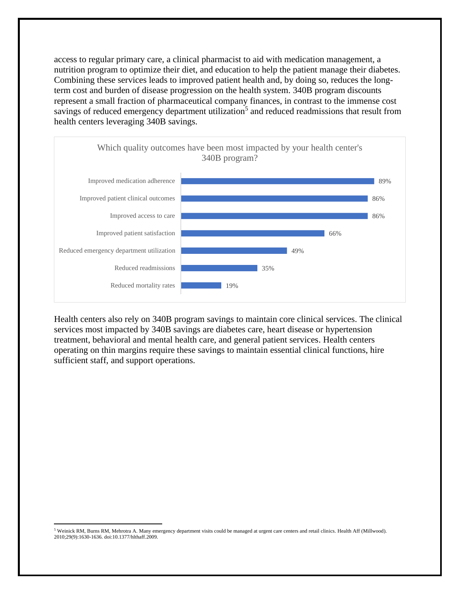access to regular primary care, a clinical pharmacist to aid with medication management, a nutrition program to optimize their diet, and education to help the patient manage their diabetes. Combining these services leads to improved patient health and, by doing so, reduces the longterm cost and burden of disease progression on the health system. 340B program discounts represent a small fraction of pharmaceutical company finances, in contrast to the immense cost savings of reduced emergency department utilization<sup>5</sup> and reduced readmissions that result from health centers leveraging 340B savings.



Health centers also rely on 340B program savings to maintain core clinical services. The clinical services most impacted by 340B savings are diabetes care, heart disease or hypertension treatment, behavioral and mental health care, and general patient services. Health centers operating on thin margins require these savings to maintain essential clinical functions, hire sufficient staff, and support operations.

 $5$  Weinick RM, Burns RM, Mehrotra A. Many emergency department visits could be managed at urgent care centers and retail clinics. Health Aff (Millwood). 2010;29(9):1630-1636. doi:10.1377/hlthaff.2009.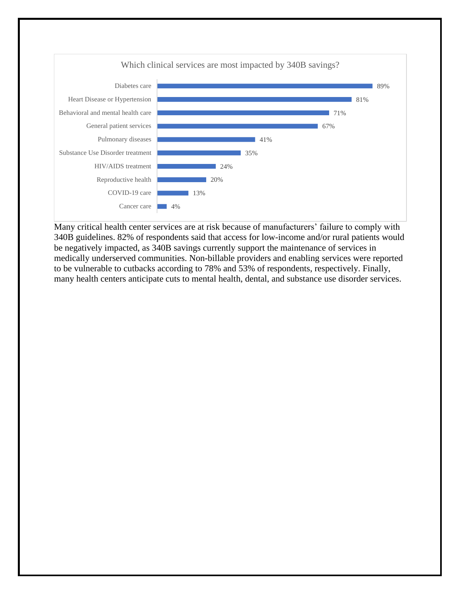

Many critical health center services are at risk because of manufacturers' failure to comply with 340B guidelines. 82% of respondents said that access for low-income and/or rural patients would be negatively impacted, as 340B savings currently support the maintenance of services in medically underserved communities. Non-billable providers and enabling services were reported to be vulnerable to cutbacks according to 78% and 53% of respondents, respectively. Finally, many health centers anticipate cuts to mental health, dental, and substance use disorder services.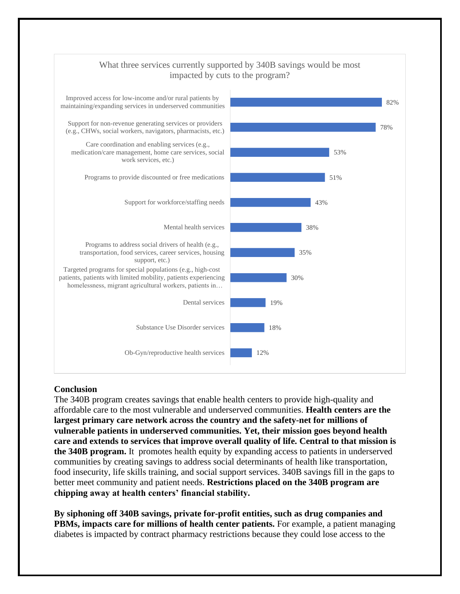

### **Conclusion**

The 340B program creates savings that enable health centers to provide high-quality and affordable care to the most vulnerable and underserved communities. **Health centers are the largest primary care network across the country and the safety-net for millions of vulnerable patients in underserved communities. Yet, their mission goes beyond health care and extends to services that improve overall quality of life. Central to that mission is the 340B program.** It promotes health equity by expanding access to patients in underserved communities by creating savings to address social determinants of health like transportation, food insecurity, life skills training, and social support services. 340B savings fill in the gaps to better meet community and patient needs. **Restrictions placed on the 340B program are chipping away at health centers' financial stability.**

**By siphoning off 340B savings, private for-profit entities, such as drug companies and PBMs, impacts care for millions of health center patients.** For example, a patient managing diabetes is impacted by contract pharmacy restrictions because they could lose access to the